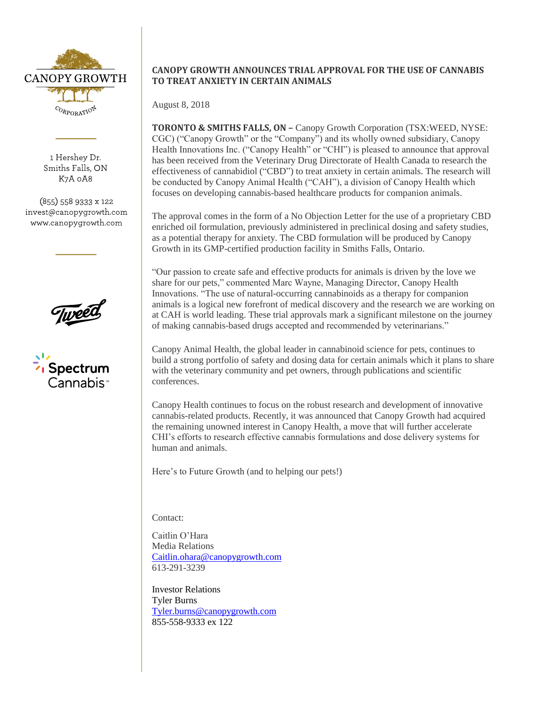

1 Hershey Dr. Smiths Falls, ON K7A 0A8

 $(855)$  558 9333 x 122 invest@canopygrowth.com www.canopygrowth.com

Spectrum

# **CANOPY GROWTH ANNOUNCES TRIAL APPROVAL FOR THE USE OF CANNABIS TO TREAT ANXIETY IN CERTAIN ANIMALS**

August 8, 2018

**TORONTO & SMITHS FALLS, ON –** Canopy Growth Corporation (TSX:WEED, NYSE: CGC) ("Canopy Growth" or the "Company") and its wholly owned subsidiary, Canopy Health Innovations Inc. ("Canopy Health" or "CHI") is pleased to announce that approval has been received from the Veterinary Drug Directorate of Health Canada to research the effectiveness of cannabidiol ("CBD") to treat anxiety in certain animals. The research will be conducted by Canopy Animal Health ("CAH"), a division of Canopy Health which focuses on developing cannabis-based healthcare products for companion animals.

The approval comes in the form of a No Objection Letter for the use of a proprietary CBD enriched oil formulation, previously administered in preclinical dosing and safety studies, as a potential therapy for anxiety. The CBD formulation will be produced by Canopy Growth in its GMP-certified production facility in Smiths Falls, Ontario.

"Our passion to create safe and effective products for animals is driven by the love we share for our pets," commented Marc Wayne, Managing Director, Canopy Health Innovations. "The use of natural-occurring cannabinoids as a therapy for companion animals is a logical new forefront of medical discovery and the research we are working on at CAH is world leading. These trial approvals mark a significant milestone on the journey of making cannabis-based drugs accepted and recommended by veterinarians."

Canopy Animal Health, the global leader in cannabinoid science for pets, continues to build a strong portfolio of safety and dosing data for certain animals which it plans to share with the veterinary community and pet owners, through publications and scientific conferences.

Canopy Health continues to focus on the robust research and development of innovative cannabis-related products. Recently, it was announced that Canopy Growth had acquired the remaining unowned interest in Canopy Health, a move that will further accelerate CHI's efforts to research effective cannabis formulations and dose delivery systems for human and animals.

Here's to Future Growth (and to helping our pets!)

Contact:

Caitlin O'Hara Media Relations [Caitlin.ohara@canopygrowth.com](mailto:Caitlin.ohara@canopygrowth.com) 613-291-3239

Investor Relations Tyler Burns [Tyler.burns@canopygrowth.com](mailto:Tyler.burns@canopygrowth.com) 855-558-9333 ex 122